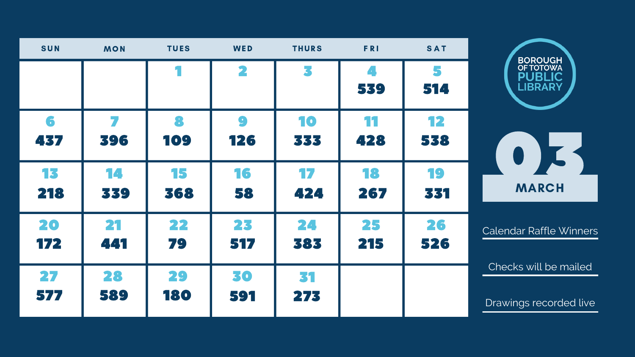| <b>SUN</b> | <b>MON</b> | <b>TUES</b> | WED              | <b>THURS</b> | FRI       | <b>SAT</b> | <b>BOROUGH</b>                                      |
|------------|------------|-------------|------------------|--------------|-----------|------------|-----------------------------------------------------|
|            |            |             | 2                | 5            | 539       | 514        | <b>OF TOTOWA</b><br><b>PUBLIC</b><br><b>LIBRARY</b> |
| 6<br>437   | 396        | 109         | $\bullet$<br>126 | 10<br>333    | 11<br>428 | 12<br>538  |                                                     |
| 13<br>218  | 14<br>339  | 15<br>368   | 16<br>58         | 17<br>424    | 18<br>267 | 19<br>331  | <b>MARCH</b>                                        |
| 20<br>172  | 21<br>441  | 22<br>79    | 23<br>517        | 24<br>383    | 25<br>215 | 26<br>526  | <b>Calendar Raffle Winne</b>                        |
| 27<br>577  | 28<br>589  | 29<br>180   | 30<br>591        | 31<br>275    |           |            | Checks will be maile<br>Drawings recorded liv       |

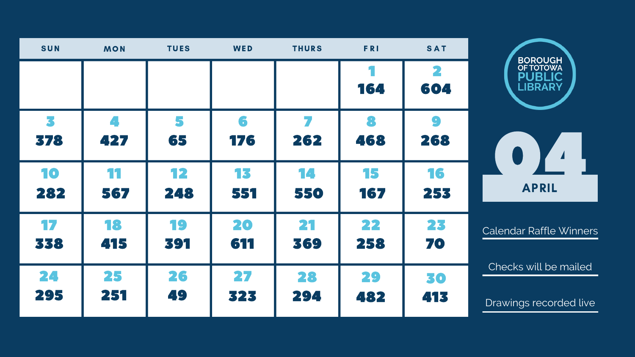

| <b>SUN</b> | <b>MON</b>           | <b>TUES</b> | WED      | <b>THURS</b> | <b>FRI</b> | <b>SAT</b>       |      |
|------------|----------------------|-------------|----------|--------------|------------|------------------|------|
|            |                      |             |          |              | 164        | 604              |      |
| 3<br>378   | $\mathcal{L}$<br>427 | 65          | 6<br>176 | 262          | 8<br>468   | $\bullet$<br>268 |      |
| 10         | 11                   | 12          | 13       | 14           | 15         | 16               |      |
| 282        | 567                  | 248         | 551      | 550          | 167        | 253              |      |
| 17         | 18                   | 19          | 20       | 21           | 22         | 23               | Cale |
| 338        | 415                  | 391         | 611      | 369          | 258        | 70               |      |
| 24         | 25                   | 26          | 27       | 28           | 29         | 30               | Ch   |
| 295        | 251                  | 49          | 323      | 294          | 482        | 413              | Dra  |